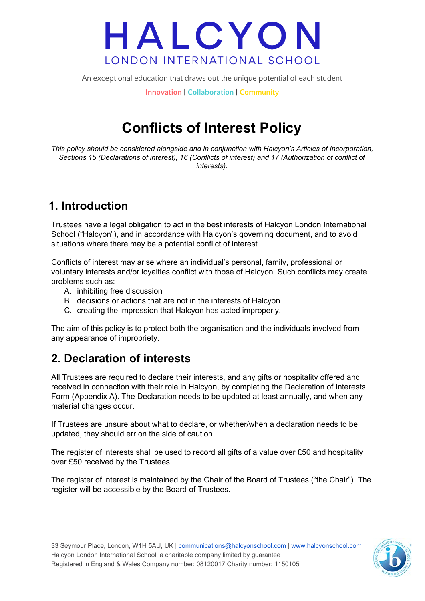An exceptional education that draws out the unique potential of each student

**Innovation | Collaboration | Community**

### **Conflicts of Interest Policy**

*This policy should be considered alongside and in conjunction with Halcyon's Articles of Incorporation, Sections 15 (Declarations of interest), 16 (Conflicts of interest) and 17 (Authorization of conflict of interests).*

### **1. Introduction**

Trustees have a legal obligation to act in the best interests of Halcyon London International School ("Halcyon"), and in accordance with Halcyon's governing document, and to avoid situations where there may be a potential conflict of interest.

Conflicts of interest may arise where an individual's personal, family, professional or voluntary interests and/or loyalties conflict with those of Halcyon. Such conflicts may create problems such as:

- A. inhibiting free discussion
- B. decisions or actions that are not in the interests of Halcyon
- C. creating the impression that Halcyon has acted improperly.

The aim of this policy is to protect both the organisation and the individuals involved from any appearance of impropriety.

### **2. Declaration of interests**

All Trustees are required to declare their interests, and any gifts or hospitality offered and received in connection with their role in Halcyon, by completing the Declaration of Interests Form (Appendix A). The Declaration needs to be updated at least annually, and when any material changes occur.

If Trustees are unsure about what to declare, or whether/when a declaration needs to be updated, they should err on the side of caution.

The register of interests shall be used to record all gifts of a value over £50 and hospitality over £50 received by the Trustees.

The register of interest is maintained by the Chair of the Board of Trustees ("the Chair"). The register will be accessible by the Board of Trustees.

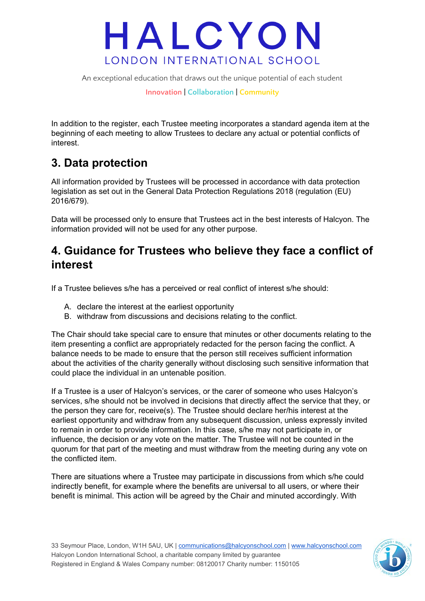

An exceptional education that draws out the unique potential of each student

**Innovation | Collaboration | Community**

In addition to the register, each Trustee meeting incorporates a standard agenda item at the beginning of each meeting to allow Trustees to declare any actual or potential conflicts of interest.

### **3. Data protection**

All information provided by Trustees will be processed in accordance with data protection legislation as set out in the General Data Protection Regulations 2018 (regulation (EU) 2016/679).

Data will be processed only to ensure that Trustees act in the best interests of Halcyon. The information provided will not be used for any other purpose.

#### **4. Guidance for Trustees who believe they face a conflict of interest**

If a Trustee believes s/he has a perceived or real conflict of interest s/he should:

- A. declare the interest at the earliest opportunity
- B. withdraw from discussions and decisions relating to the conflict.

The Chair should take special care to ensure that minutes or other documents relating to the item presenting a conflict are appropriately redacted for the person facing the conflict. A balance needs to be made to ensure that the person still receives sufficient information about the activities of the charity generally without disclosing such sensitive information that could place the individual in an untenable position.

If a Trustee is a user of Halcyon's services, or the carer of someone who uses Halcyon's services, s/he should not be involved in decisions that directly affect the service that they, or the person they care for, receive(s). The Trustee should declare her/his interest at the earliest opportunity and withdraw from any subsequent discussion, unless expressly invited to remain in order to provide information. In this case, s/he may not participate in, or influence, the decision or any vote on the matter. The Trustee will not be counted in the quorum for that part of the meeting and must withdraw from the meeting during any vote on the conflicted item.

There are situations where a Trustee may participate in discussions from which s/he could indirectly benefit, for example where the benefits are universal to all users, or where their benefit is minimal. This action will be agreed by the Chair and minuted accordingly. With

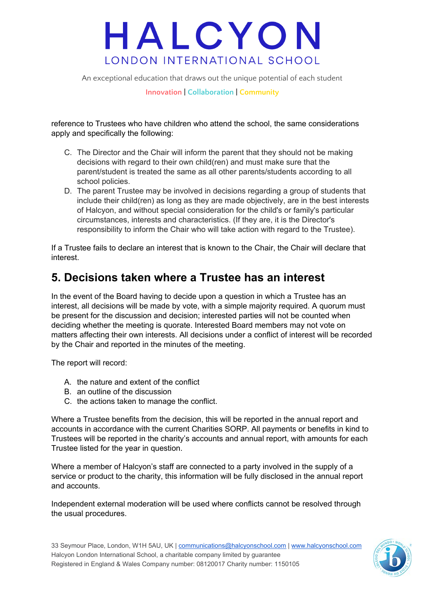An exceptional education that draws out the unique potential of each student

**Innovation | Collaboration | Community**

reference to Trustees who have children who attend the school, the same considerations apply and specifically the following:

- C. The Director and the Chair will inform the parent that they should not be making decisions with regard to their own child(ren) and must make sure that the parent/student is treated the same as all other parents/students according to all school policies.
- D. The parent Trustee may be involved in decisions regarding a group of students that include their child(ren) as long as they are made objectively, are in the best interests of Halcyon, and without special consideration for the child's or family's particular circumstances, interests and characteristics. (If they are, it is the Director's responsibility to inform the Chair who will take action with regard to the Trustee).

If a Trustee fails to declare an interest that is known to the Chair, the Chair will declare that interest.

#### **5. Decisions taken where a Trustee has an interest**

In the event of the Board having to decide upon a question in which a Trustee has an interest, all decisions will be made by vote, with a simple majority required. A quorum must be present for the discussion and decision; interested parties will not be counted when deciding whether the meeting is quorate. Interested Board members may not vote on matters affecting their own interests. All decisions under a conflict of interest will be recorded by the Chair and reported in the minutes of the meeting.

The report will record:

- A. the nature and extent of the conflict
- B. an outline of the discussion
- C. the actions taken to manage the conflict.

Where a Trustee benefits from the decision, this will be reported in the annual report and accounts in accordance with the current Charities SORP. All payments or benefits in kind to Trustees will be reported in the charity's accounts and annual report, with amounts for each Trustee listed for the year in question.

Where a member of Halcyon's staff are connected to a party involved in the supply of a service or product to the charity, this information will be fully disclosed in the annual report and accounts.

Independent external moderation will be used where conflicts cannot be resolved through the usual procedures.

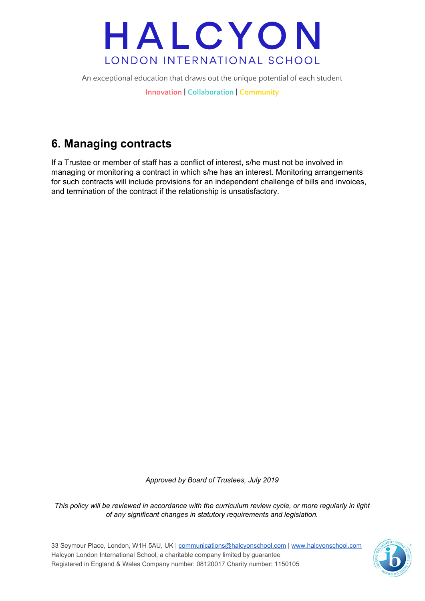An exceptional education that draws out the unique potential of each student

**Innovation | Collaboration | Community**

### **6. Managing contracts**

If a Trustee or member of staff has a conflict of interest, s/he must not be involved in managing or monitoring a contract in which s/he has an interest. Monitoring arrangements for such contracts will include provisions for an independent challenge of bills and invoices, and termination of the contract if the relationship is unsatisfactory.

*Approved by Board of Trustees, July 2019*

*This policy will be reviewed in accordance with the curriculum review cycle, or more regularly in light of any significant changes in statutory requirements and legislation.*

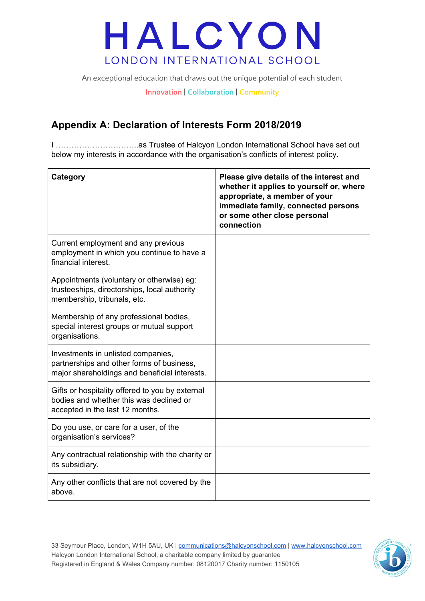An exceptional education that draws out the unique potential of each student

**Innovation | Collaboration | Community**

#### **Appendix A: Declaration of Interests Form 2018/2019**

I …………………………..as Trustee of Halcyon London International School have set out below my interests in accordance with the organisation's conflicts of interest policy.

| Category                                                                                                                         | Please give details of the interest and<br>whether it applies to yourself or, where<br>appropriate, a member of your<br>immediate family, connected persons<br>or some other close personal<br>connection |
|----------------------------------------------------------------------------------------------------------------------------------|-----------------------------------------------------------------------------------------------------------------------------------------------------------------------------------------------------------|
| Current employment and any previous<br>employment in which you continue to have a<br>financial interest.                         |                                                                                                                                                                                                           |
| Appointments (voluntary or otherwise) eg:<br>trusteeships, directorships, local authority<br>membership, tribunals, etc.         |                                                                                                                                                                                                           |
| Membership of any professional bodies,<br>special interest groups or mutual support<br>organisations.                            |                                                                                                                                                                                                           |
| Investments in unlisted companies,<br>partnerships and other forms of business,<br>major shareholdings and beneficial interests. |                                                                                                                                                                                                           |
| Gifts or hospitality offered to you by external<br>bodies and whether this was declined or<br>accepted in the last 12 months.    |                                                                                                                                                                                                           |
| Do you use, or care for a user, of the<br>organisation's services?                                                               |                                                                                                                                                                                                           |
| Any contractual relationship with the charity or<br>its subsidiary.                                                              |                                                                                                                                                                                                           |
| Any other conflicts that are not covered by the<br>above.                                                                        |                                                                                                                                                                                                           |